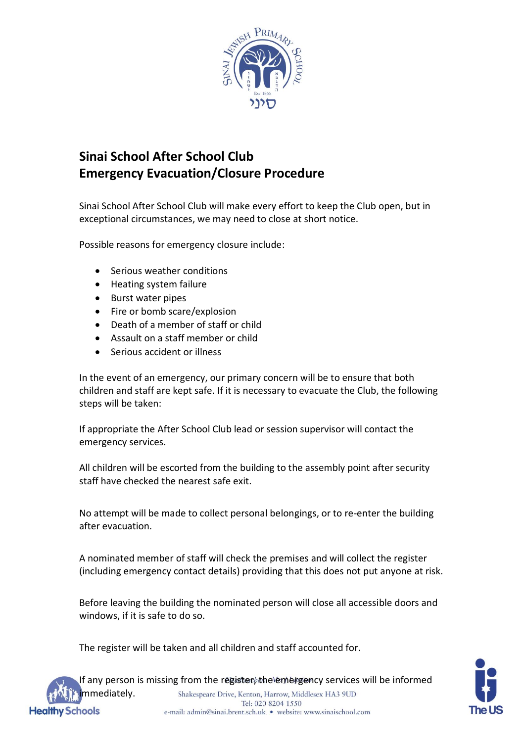

## **Sinai School After School Club Emergency Evacuation/Closure Procedure**

Sinai School After School Club will make every effort to keep the Club open, but in exceptional circumstances, we may need to close at short notice.

Possible reasons for emergency closure include:

- Serious weather conditions
- Heating system failure
- Burst water pipes
- Fire or bomb scare/explosion
- Death of a member of staff or child
- Assault on a staff member or child
- Serious accident or illness

In the event of an emergency, our primary concern will be to ensure that both children and staff are kept safe. If it is necessary to evacuate the Club, the following steps will be taken:

If appropriate the After School Club lead or session supervisor will contact the emergency services.

All children will be escorted from the building to the assembly point after security staff have checked the nearest safe exit.

No attempt will be made to collect personal belongings, or to re-enter the building after evacuation.

A nominated member of staff will check the premises and will collect the register (including emergency contact details) providing that this does not put anyone at risk.

Before leaving the building the nominated person will close all accessible doors and windows, if it is safe to do so.

The register will be taken and all children and staff accounted for.